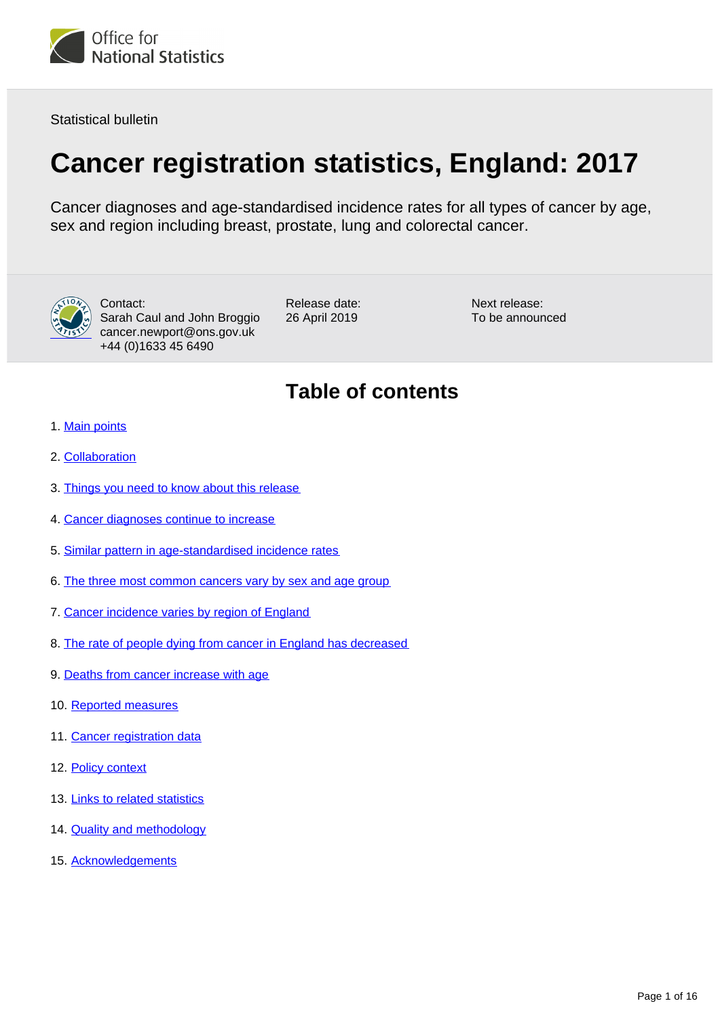

Statistical bulletin

# **Cancer registration statistics, England: 2017**

Cancer diagnoses and age-standardised incidence rates for all types of cancer by age, sex and region including breast, prostate, lung and colorectal cancer.



Contact: Sarah Caul and John Broggio cancer.newport@ons.gov.uk +44 (0)1633 45 6490

Release date: 26 April 2019

Next release: To be announced

## **Table of contents**

- 1. [Main points](#page-1-0)
- 2. [Collaboration](#page-1-1)
- 3. [Things you need to know about this release](#page-1-2)
- 4. [Cancer diagnoses continue to increase](#page-2-0)
- 5. [Similar pattern in age-standardised incidence rates](#page-4-0)
- 6. [The three most common cancers vary by sex and age group](#page-4-1)
- 7. [Cancer incidence varies by region of England](#page-6-0)
- 8. [The rate of people dying from cancer in England has decreased](#page-7-0)
- 9. [Deaths from cancer increase with age](#page-8-0)
- 10. [Reported measures](#page-8-1)
- 11. [Cancer registration data](#page-9-0)
- 12. [Policy context](#page-12-0)
- 13. [Links to related statistics](#page-13-0)
- 14. **[Quality and methodology](#page-14-0)**
- 15. [Acknowledgements](#page-15-0)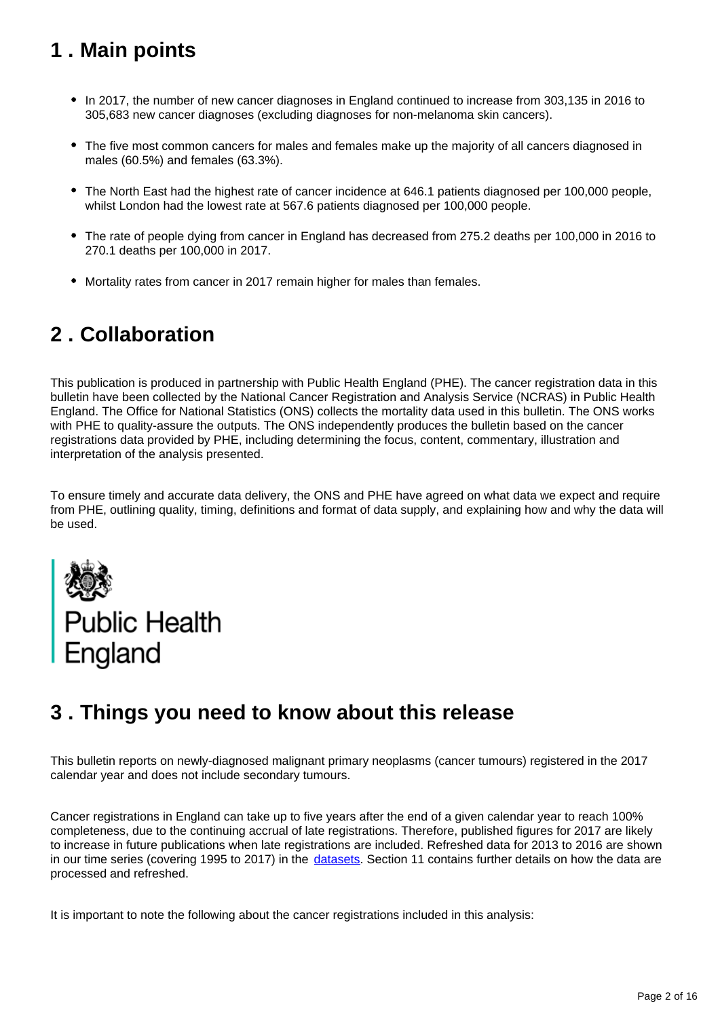## <span id="page-1-0"></span>**1 . Main points**

- In 2017, the number of new cancer diagnoses in England continued to increase from 303,135 in 2016 to 305,683 new cancer diagnoses (excluding diagnoses for non-melanoma skin cancers).
- The five most common cancers for males and females make up the majority of all cancers diagnosed in males (60.5%) and females (63.3%).
- The North East had the highest rate of cancer incidence at 646.1 patients diagnosed per 100,000 people, whilst London had the lowest rate at 567.6 patients diagnosed per 100,000 people.
- The rate of people dying from cancer in England has decreased from 275.2 deaths per 100,000 in 2016 to 270.1 deaths per 100,000 in 2017.
- Mortality rates from cancer in 2017 remain higher for males than females.

## <span id="page-1-1"></span>**2 . Collaboration**

This publication is produced in partnership with Public Health England (PHE). The cancer registration data in this bulletin have been collected by the National Cancer Registration and Analysis Service (NCRAS) in Public Health England. The Office for National Statistics (ONS) collects the mortality data used in this bulletin. The ONS works with PHE to quality-assure the outputs. The ONS independently produces the bulletin based on the cancer registrations data provided by PHE, including determining the focus, content, commentary, illustration and interpretation of the analysis presented.

To ensure timely and accurate data delivery, the ONS and PHE have agreed on what data we expect and require from PHE, outlining quality, timing, definitions and format of data supply, and explaining how and why the data will be used.



## <span id="page-1-2"></span>**3 . Things you need to know about this release**

This bulletin reports on newly-diagnosed malignant primary neoplasms (cancer tumours) registered in the 2017 calendar year and does not include secondary tumours.

Cancer registrations in England can take up to five years after the end of a given calendar year to reach 100% completeness, due to the continuing accrual of late registrations. Therefore, published figures for 2017 are likely to increase in future publications when late registrations are included. Refreshed data for 2013 to 2016 are shown in our time series (covering 1995 to 2017) in the [datasets.](https://www.ons.gov.uk/peoplepopulationandcommunity/healthandsocialcare/conditionsanddiseases/datasets/cancerregistrationstatisticscancerregistrationstatisticsengland) Section 11 contains further details on how the data are processed and refreshed.

It is important to note the following about the cancer registrations included in this analysis: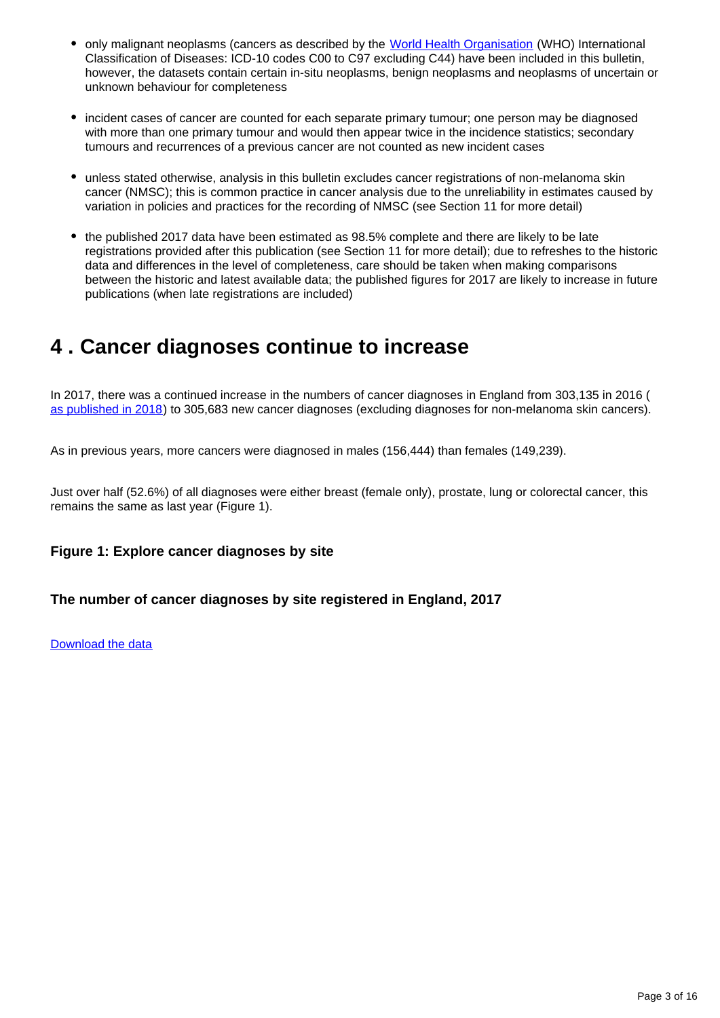- only malignant neoplasms (cancers as described by the [World Health Organisation](http://www.who.int/mediacentre/factsheets/fs297/en/) (WHO) International Classification of Diseases: ICD-10 codes C00 to C97 excluding C44) have been included in this bulletin, however, the datasets contain certain in-situ neoplasms, benign neoplasms and neoplasms of uncertain or unknown behaviour for completeness
- incident cases of cancer are counted for each separate primary tumour; one person may be diagnosed with more than one primary tumour and would then appear twice in the incidence statistics; secondary tumours and recurrences of a previous cancer are not counted as new incident cases
- unless stated otherwise, analysis in this bulletin excludes cancer registrations of non-melanoma skin cancer (NMSC); this is common practice in cancer analysis due to the unreliability in estimates caused by variation in policies and practices for the recording of NMSC (see Section 11 for more detail)
- the published 2017 data have been estimated as 98.5% complete and there are likely to be late registrations provided after this publication (see Section 11 for more detail); due to refreshes to the historic data and differences in the level of completeness, care should be taken when making comparisons between the historic and latest available data; the published figures for 2017 are likely to increase in future publications (when late registrations are included)

### <span id="page-2-0"></span>**4 . Cancer diagnoses continue to increase**

In 2017, there was a continued increase in the numbers of cancer diagnoses in England from 303,135 in 2016 ( [as published in 2018\)](https://www.ons.gov.uk/peoplepopulationandcommunity/healthandsocialcare/conditionsanddiseases/bulletins/cancerregistrationstatisticsengland/final2016) to 305,683 new cancer diagnoses (excluding diagnoses for non-melanoma skin cancers).

As in previous years, more cancers were diagnosed in males (156,444) than females (149,239).

Just over half (52.6%) of all diagnoses were either breast (female only), prostate, lung or colorectal cancer, this remains the same as last year (Figure 1).

#### **Figure 1: Explore cancer diagnoses by site**

#### **The number of cancer diagnoses by site registered in England, 2017**

#### [Download the data](https://www.ons.gov.uk/visualisations/dvc612/treemapmaster/treemap/datadownload.xlsx)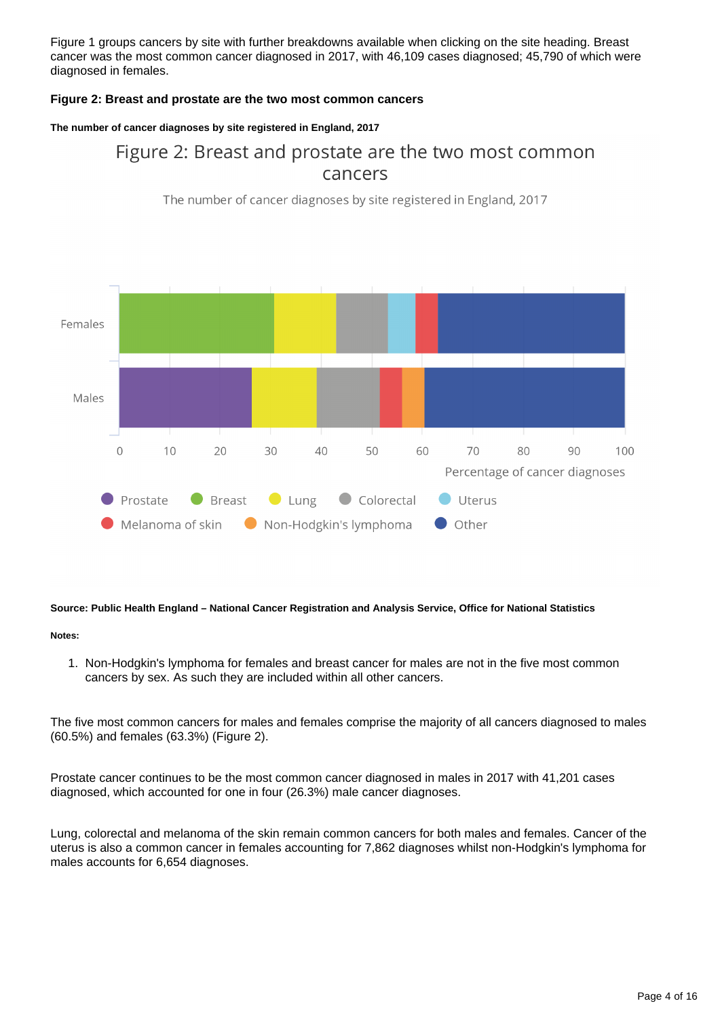Figure 1 groups cancers by site with further breakdowns available when clicking on the site heading. Breast cancer was the most common cancer diagnosed in 2017, with 46,109 cases diagnosed; 45,790 of which were diagnosed in females.

#### **Figure 2: Breast and prostate are the two most common cancers**

#### **The number of cancer diagnoses by site registered in England, 2017**

### Figure 2: Breast and prostate are the two most common cancers

The number of cancer diagnoses by site registered in England, 2017



#### **Source: Public Health England – National Cancer Registration and Analysis Service, Office for National Statistics**

#### **Notes:**

1. Non-Hodgkin's lymphoma for females and breast cancer for males are not in the five most common cancers by sex. As such they are included within all other cancers.

The five most common cancers for males and females comprise the majority of all cancers diagnosed to males (60.5%) and females (63.3%) (Figure 2).

Prostate cancer continues to be the most common cancer diagnosed in males in 2017 with 41,201 cases diagnosed, which accounted for one in four (26.3%) male cancer diagnoses.

Lung, colorectal and melanoma of the skin remain common cancers for both males and females. Cancer of the uterus is also a common cancer in females accounting for 7,862 diagnoses whilst non-Hodgkin's lymphoma for males accounts for 6,654 diagnoses.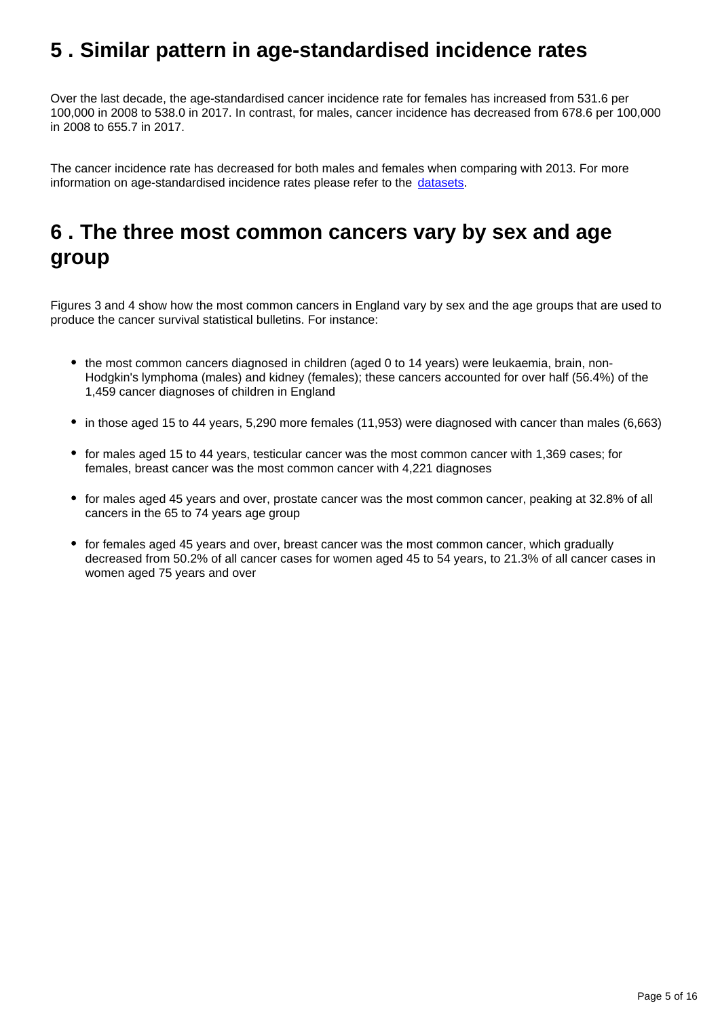### <span id="page-4-0"></span>**5 . Similar pattern in age-standardised incidence rates**

Over the last decade, the age-standardised cancer incidence rate for females has increased from 531.6 per 100,000 in 2008 to 538.0 in 2017. In contrast, for males, cancer incidence has decreased from 678.6 per 100,000 in 2008 to 655.7 in 2017.

The cancer incidence rate has decreased for both males and females when comparing with 2013. For more information on age-standardised incidence rates please refer to the [datasets.](https://www.ons.gov.uk/peoplepopulationandcommunity/healthandsocialcare/conditionsanddiseases/datasets/cancerregistrationstatisticscancerregistrationstatisticsengland)

## <span id="page-4-1"></span>**6 . The three most common cancers vary by sex and age group**

Figures 3 and 4 show how the most common cancers in England vary by sex and the age groups that are used to produce the cancer survival statistical bulletins. For instance:

- the most common cancers diagnosed in children (aged 0 to 14 years) were leukaemia, brain, non-Hodgkin's lymphoma (males) and kidney (females); these cancers accounted for over half (56.4%) of the 1,459 cancer diagnoses of children in England
- in those aged 15 to 44 years, 5,290 more females (11,953) were diagnosed with cancer than males (6,663)
- for males aged 15 to 44 years, testicular cancer was the most common cancer with 1,369 cases; for females, breast cancer was the most common cancer with 4,221 diagnoses
- for males aged 45 years and over, prostate cancer was the most common cancer, peaking at 32.8% of all cancers in the 65 to 74 years age group
- for females aged 45 years and over, breast cancer was the most common cancer, which gradually decreased from 50.2% of all cancer cases for women aged 45 to 54 years, to 21.3% of all cancer cases in women aged 75 years and over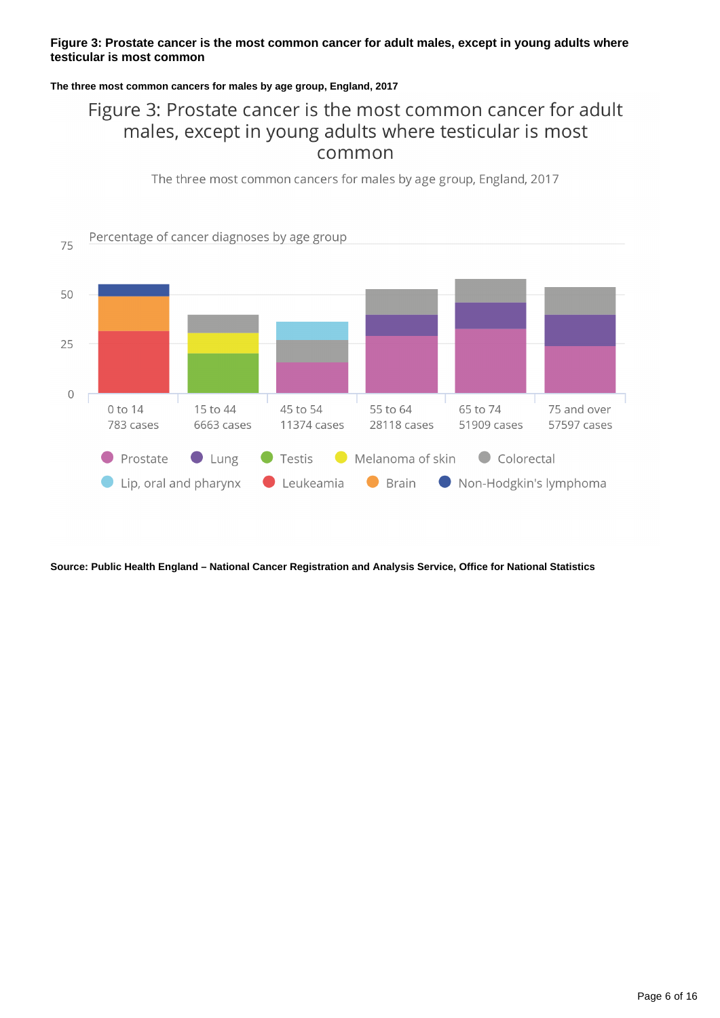#### **Figure 3: Prostate cancer is the most common cancer for adult males, except in young adults where testicular is most common**

#### **The three most common cancers for males by age group, England, 2017**

### Figure 3: Prostate cancer is the most common cancer for adult males, except in young adults where testicular is most common

The three most common cancers for males by age group, England, 2017



**Source: Public Health England – National Cancer Registration and Analysis Service, Office for National Statistics**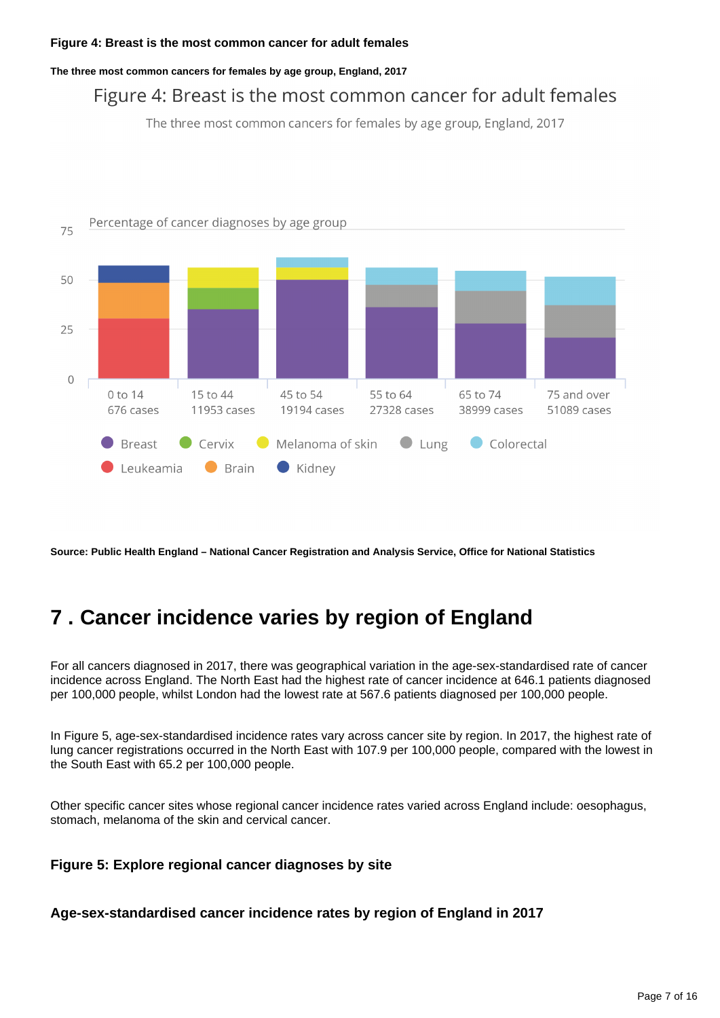**The three most common cancers for females by age group, England, 2017**

### Figure 4: Breast is the most common cancer for adult females

The three most common cancers for females by age group, England, 2017



**Source: Public Health England – National Cancer Registration and Analysis Service, Office for National Statistics**

## <span id="page-6-0"></span>**7 . Cancer incidence varies by region of England**

For all cancers diagnosed in 2017, there was geographical variation in the age-sex-standardised rate of cancer incidence across England. The North East had the highest rate of cancer incidence at 646.1 patients diagnosed per 100,000 people, whilst London had the lowest rate at 567.6 patients diagnosed per 100,000 people.

In Figure 5, age-sex-standardised incidence rates vary across cancer site by region. In 2017, the highest rate of lung cancer registrations occurred in the North East with 107.9 per 100,000 people, compared with the lowest in the South East with 65.2 per 100,000 people.

Other specific cancer sites whose regional cancer incidence rates varied across England include: oesophagus, stomach, melanoma of the skin and cervical cancer.

#### **Figure 5: Explore regional cancer diagnoses by site**

**Age-sex-standardised cancer incidence rates by region of England in 2017**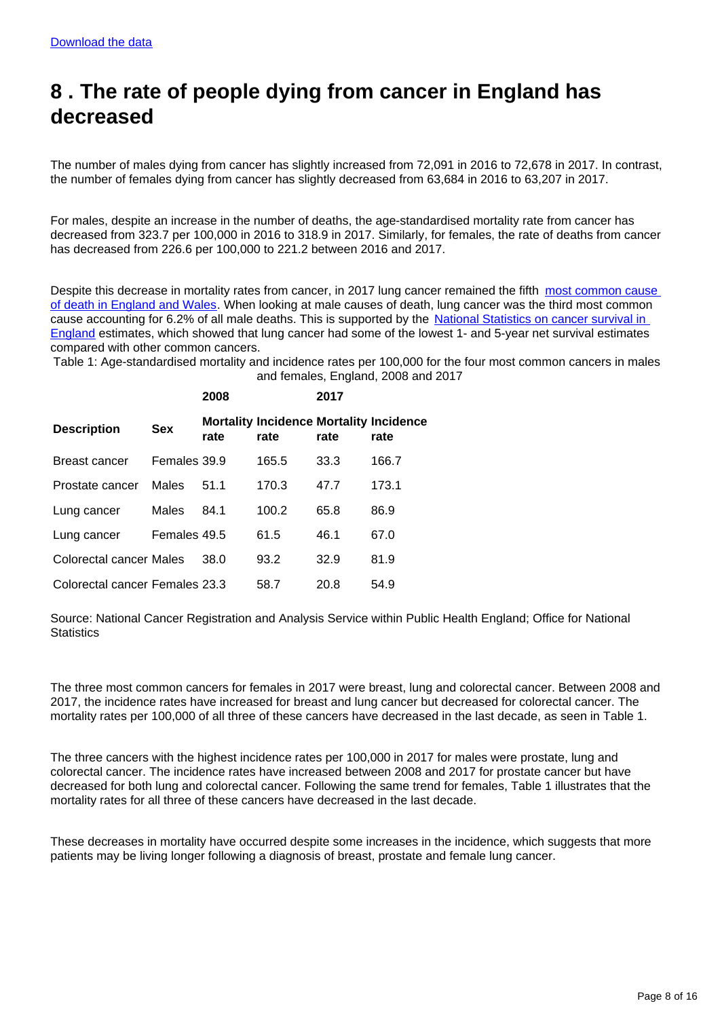## <span id="page-7-0"></span>**8 . The rate of people dying from cancer in England has decreased**

The number of males dying from cancer has slightly increased from 72,091 in 2016 to 72,678 in 2017. In contrast, the number of females dying from cancer has slightly decreased from 63,684 in 2016 to 63,207 in 2017.

For males, despite an increase in the number of deaths, the age-standardised mortality rate from cancer has decreased from 323.7 per 100,000 in 2016 to 318.9 in 2017. Similarly, for females, the rate of deaths from cancer has decreased from 226.6 per 100,000 to 221.2 between 2016 and 2017.

Despite this decrease in mortality rates from cancer, in 2017 lung cancer remained the fifth most common cause [of death in England and Wales.](https://www.ons.gov.uk/peoplepopulationandcommunity/birthsdeathsandmarriages/deaths/bulletins/deathsregisteredinenglandandwalesseriesdr/2017) When looking at male causes of death, lung cancer was the third most common cause accounting for 6.2% of all male deaths. This is supported by the [National Statistics on cancer survival in](https://www.ons.gov.uk/peoplepopulationandcommunity/healthandsocialcare/conditionsanddiseases/bulletins/cancersurvivalinengland/nationalestimatesforpatientsfollowedupto2017)  [England](https://www.ons.gov.uk/peoplepopulationandcommunity/healthandsocialcare/conditionsanddiseases/bulletins/cancersurvivalinengland/nationalestimatesforpatientsfollowedupto2017) estimates, which showed that lung cancer had some of the lowest 1- and 5-year net survival estimates compared with other common cancers.

Table 1: Age-standardised mortality and incidence rates per 100,000 for the four most common cancers in males and females, England, 2008 and 2017

|                                |              | 2008 |                                                        | 2017 |       |
|--------------------------------|--------------|------|--------------------------------------------------------|------|-------|
| <b>Description</b>             | <b>Sex</b>   | rate | <b>Mortality Incidence Mortality Incidence</b><br>rate | rate | rate  |
| Breast cancer                  | Females 39.9 |      | 165.5                                                  | 33.3 | 166.7 |
| Prostate cancer                | <b>Males</b> | 51.1 | 170.3                                                  | 47.7 | 173.1 |
| Lung cancer                    | Males        | 84.1 | 100.2                                                  | 65.8 | 86.9  |
| Lung cancer                    | Females 49.5 |      | 61.5                                                   | 46.1 | 67.0  |
| Colorectal cancer Males        |              | 38.0 | 93.2                                                   | 32.9 | 81.9  |
| Colorectal cancer Females 23.3 |              |      | 58.7                                                   | 20.8 | 54.9  |

Source: National Cancer Registration and Analysis Service within Public Health England; Office for National **Statistics** 

The three most common cancers for females in 2017 were breast, lung and colorectal cancer. Between 2008 and 2017, the incidence rates have increased for breast and lung cancer but decreased for colorectal cancer. The mortality rates per 100,000 of all three of these cancers have decreased in the last decade, as seen in Table 1.

The three cancers with the highest incidence rates per 100,000 in 2017 for males were prostate, lung and colorectal cancer. The incidence rates have increased between 2008 and 2017 for prostate cancer but have decreased for both lung and colorectal cancer. Following the same trend for females, Table 1 illustrates that the mortality rates for all three of these cancers have decreased in the last decade.

These decreases in mortality have occurred despite some increases in the incidence, which suggests that more patients may be living longer following a diagnosis of breast, prostate and female lung cancer.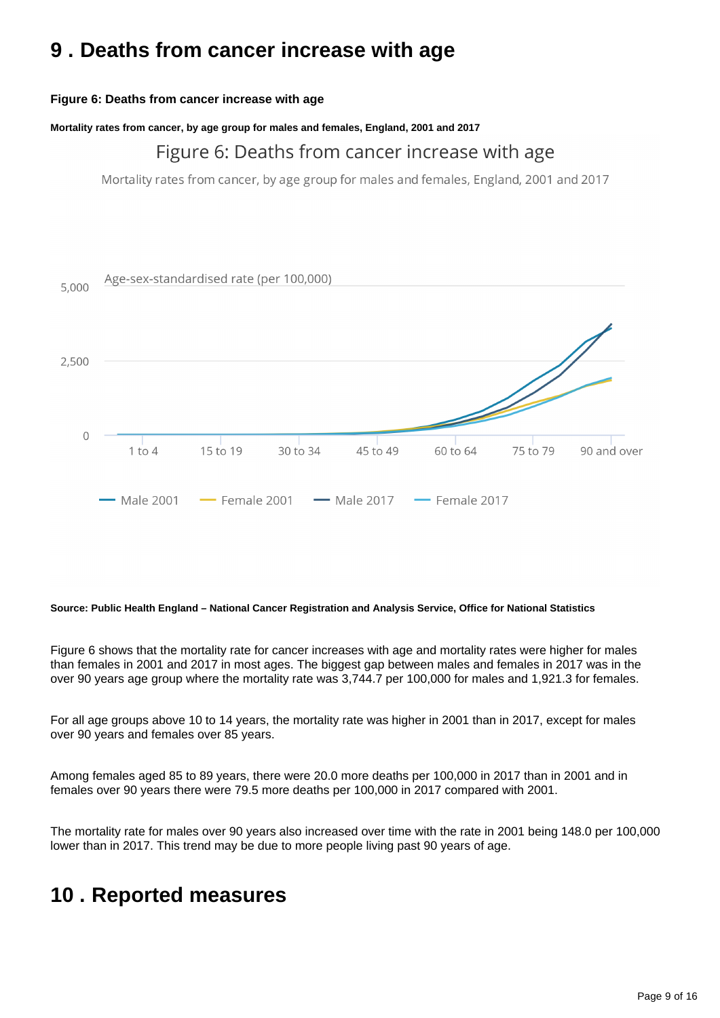### <span id="page-8-0"></span>**9 . Deaths from cancer increase with age**

#### **Figure 6: Deaths from cancer increase with age**

**Mortality rates from cancer, by age group for males and females, England, 2001 and 2017**

### Figure 6: Deaths from cancer increase with age

Mortality rates from cancer, by age group for males and females, England, 2001 and 2017



#### **Source: Public Health England – National Cancer Registration and Analysis Service, Office for National Statistics**

Figure 6 shows that the mortality rate for cancer increases with age and mortality rates were higher for males than females in 2001 and 2017 in most ages. The biggest gap between males and females in 2017 was in the over 90 years age group where the mortality rate was 3,744.7 per 100,000 for males and 1,921.3 for females.

For all age groups above 10 to 14 years, the mortality rate was higher in 2001 than in 2017, except for males over 90 years and females over 85 years.

Among females aged 85 to 89 years, there were 20.0 more deaths per 100,000 in 2017 than in 2001 and in females over 90 years there were 79.5 more deaths per 100,000 in 2017 compared with 2001.

The mortality rate for males over 90 years also increased over time with the rate in 2001 being 148.0 per 100,000 lower than in 2017. This trend may be due to more people living past 90 years of age.

### <span id="page-8-1"></span>**10 . Reported measures**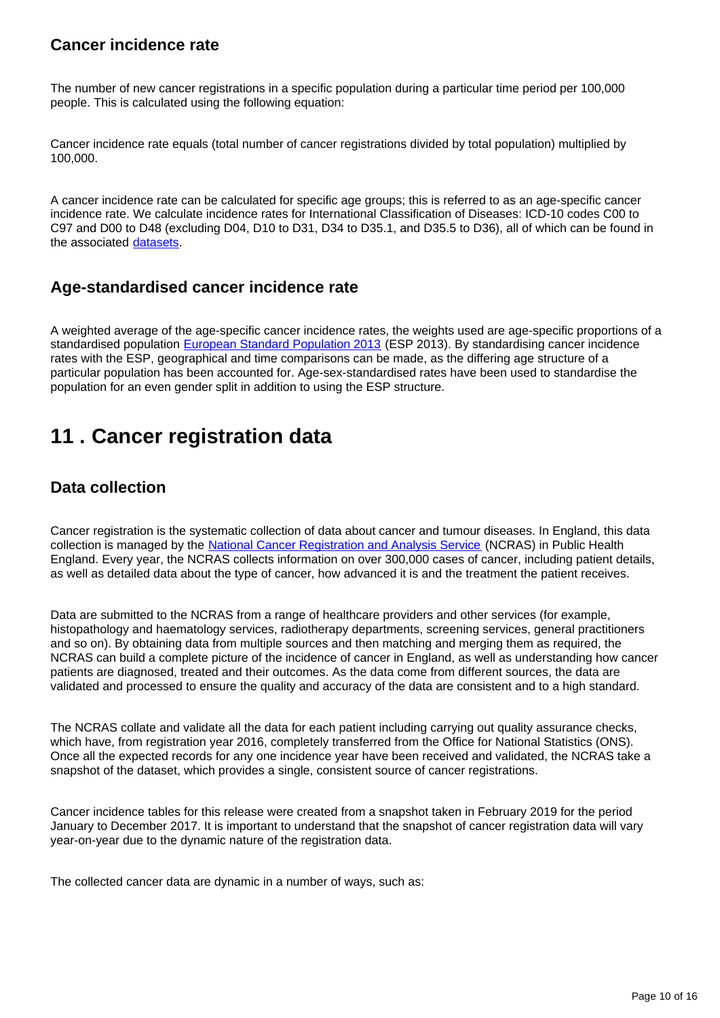### **Cancer incidence rate**

The number of new cancer registrations in a specific population during a particular time period per 100,000 people. This is calculated using the following equation:

Cancer incidence rate equals (total number of cancer registrations divided by total population) multiplied by 100,000.

A cancer incidence rate can be calculated for specific age groups; this is referred to as an age-specific cancer incidence rate. We calculate incidence rates for International Classification of Diseases: ICD-10 codes C00 to C97 and D00 to D48 (excluding D04, D10 to D31, D34 to D35.1, and D35.5 to D36), all of which can be found in the associated [datasets](https://www.ons.gov.uk/peoplepopulationandcommunity/healthandsocialcare/conditionsanddiseases/datasets/cancerregistrationstatisticscancerregistrationstatisticsengland).

### **Age-standardised cancer incidence rate**

A weighted average of the age-specific cancer incidence rates, the weights used are age-specific proportions of a standardised population [European Standard Population 2013](http://webarchive.nationalarchives.gov.uk/20160106020035/http:/www.ons.gov.uk/ons/guide-method/user-guidance/health-and-life-events/revised-european-standard-population-2013--2013-esp-/index.html) (ESP 2013). By standardising cancer incidence rates with the ESP, geographical and time comparisons can be made, as the differing age structure of a particular population has been accounted for. Age-sex-standardised rates have been used to standardise the population for an even gender split in addition to using the ESP structure.

### <span id="page-9-0"></span>**11 . Cancer registration data**

### **Data collection**

Cancer registration is the systematic collection of data about cancer and tumour diseases. In England, this data collection is managed by the [National Cancer Registration and Analysis Service](https://www.gov.uk/guidance/national-cancer-registration-and-analysis-service-ncras) (NCRAS) in Public Health England. Every year, the NCRAS collects information on over 300,000 cases of cancer, including patient details, as well as detailed data about the type of cancer, how advanced it is and the treatment the patient receives.

Data are submitted to the NCRAS from a range of healthcare providers and other services (for example, histopathology and haematology services, radiotherapy departments, screening services, general practitioners and so on). By obtaining data from multiple sources and then matching and merging them as required, the NCRAS can build a complete picture of the incidence of cancer in England, as well as understanding how cancer patients are diagnosed, treated and their outcomes. As the data come from different sources, the data are validated and processed to ensure the quality and accuracy of the data are consistent and to a high standard.

The NCRAS collate and validate all the data for each patient including carrying out quality assurance checks, which have, from registration year 2016, completely transferred from the Office for National Statistics (ONS). Once all the expected records for any one incidence year have been received and validated, the NCRAS take a snapshot of the dataset, which provides a single, consistent source of cancer registrations.

Cancer incidence tables for this release were created from a snapshot taken in February 2019 for the period January to December 2017. It is important to understand that the snapshot of cancer registration data will vary year-on-year due to the dynamic nature of the registration data.

The collected cancer data are dynamic in a number of ways, such as: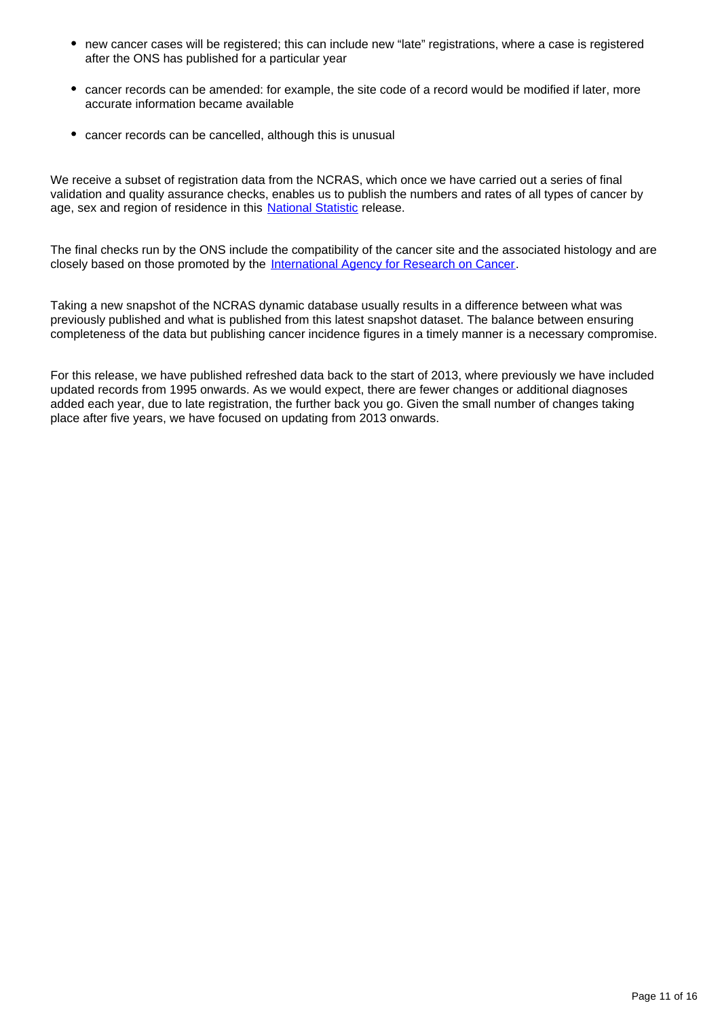- new cancer cases will be registered; this can include new "late" registrations, where a case is registered after the ONS has published for a particular year
- cancer records can be amended: for example, the site code of a record would be modified if later, more accurate information became available
- cancer records can be cancelled, although this is unusual

We receive a subset of registration data from the NCRAS, which once we have carried out a series of final validation and quality assurance checks, enables us to publish the numbers and rates of all types of cancer by age, sex and region of residence in this [National Statistic](https://www.statisticsauthority.gov.uk/about-the-authority/uk-statistical-system/types-of-official-statistics/) release.

The final checks run by the ONS include the compatibility of the cancer site and the associated histology and are closely based on those promoted by the [International Agency for Research on Cancer](https://www.iarc.fr/).

Taking a new snapshot of the NCRAS dynamic database usually results in a difference between what was previously published and what is published from this latest snapshot dataset. The balance between ensuring completeness of the data but publishing cancer incidence figures in a timely manner is a necessary compromise.

For this release, we have published refreshed data back to the start of 2013, where previously we have included updated records from 1995 onwards. As we would expect, there are fewer changes or additional diagnoses added each year, due to late registration, the further back you go. Given the small number of changes taking place after five years, we have focused on updating from 2013 onwards.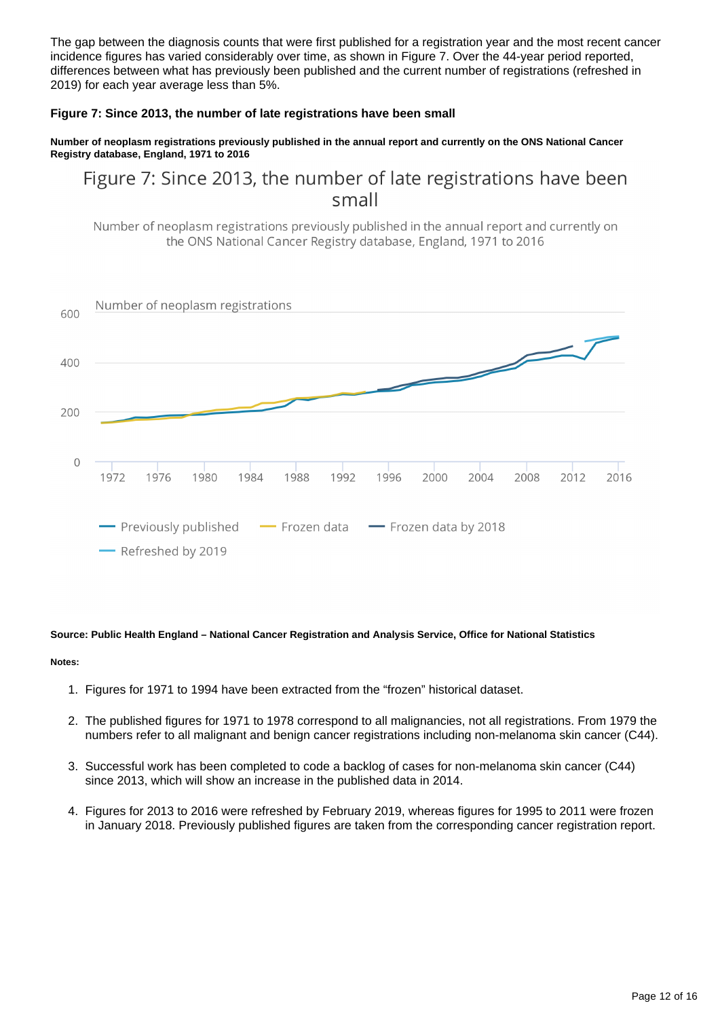The gap between the diagnosis counts that were first published for a registration year and the most recent cancer incidence figures has varied considerably over time, as shown in Figure 7. Over the 44-year period reported, differences between what has previously been published and the current number of registrations (refreshed in 2019) for each year average less than 5%.

#### **Figure 7: Since 2013, the number of late registrations have been small**

#### **Number of neoplasm registrations previously published in the annual report and currently on the ONS National Cancer Registry database, England, 1971 to 2016**

Figure 7: Since 2013, the number of late registrations have been small

Number of neoplasm registrations previously published in the annual report and currently on the ONS National Cancer Registry database, England, 1971 to 2016



#### **Source: Public Health England – National Cancer Registration and Analysis Service, Office for National Statistics**

#### **Notes:**

- 1. Figures for 1971 to 1994 have been extracted from the "frozen" historical dataset.
- 2. The published figures for 1971 to 1978 correspond to all malignancies, not all registrations. From 1979 the numbers refer to all malignant and benign cancer registrations including non-melanoma skin cancer (C44).
- 3. Successful work has been completed to code a backlog of cases for non-melanoma skin cancer (C44) since 2013, which will show an increase in the published data in 2014.
- 4. Figures for 2013 to 2016 were refreshed by February 2019, whereas figures for 1995 to 2011 were frozen in January 2018. Previously published figures are taken from the corresponding cancer registration report.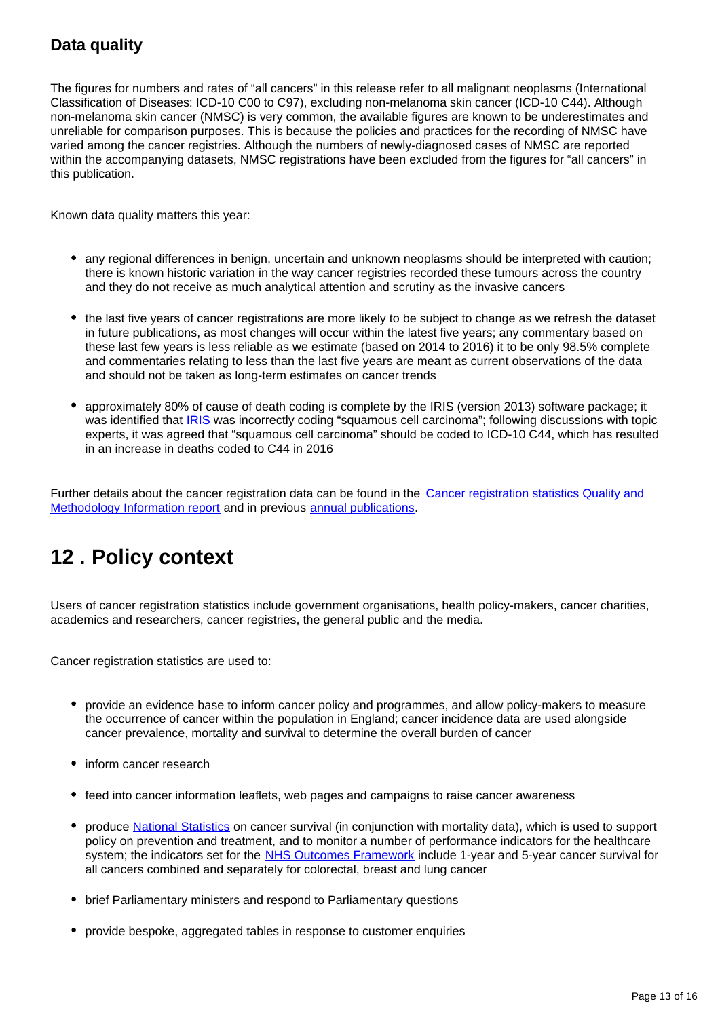### **Data quality**

The figures for numbers and rates of "all cancers" in this release refer to all malignant neoplasms (International Classification of Diseases: ICD-10 C00 to C97), excluding non-melanoma skin cancer (ICD-10 C44). Although non-melanoma skin cancer (NMSC) is very common, the available figures are known to be underestimates and unreliable for comparison purposes. This is because the policies and practices for the recording of NMSC have varied among the cancer registries. Although the numbers of newly-diagnosed cases of NMSC are reported within the accompanying datasets, NMSC registrations have been excluded from the figures for "all cancers" in this publication.

Known data quality matters this year:

- any regional differences in benign, uncertain and unknown neoplasms should be interpreted with caution; there is known historic variation in the way cancer registries recorded these tumours across the country and they do not receive as much analytical attention and scrutiny as the invasive cancers
- the last five years of cancer registrations are more likely to be subject to change as we refresh the dataset in future publications, as most changes will occur within the latest five years; any commentary based on these last few years is less reliable as we estimate (based on 2014 to 2016) it to be only 98.5% complete and commentaries relating to less than the last five years are meant as current observations of the data and should not be taken as long-term estimates on cancer trends
- approximately 80% of cause of death coding is complete by the IRIS (version 2013) software package; it was identified that [IRIS](http://webarchive.nationalarchives.gov.uk/20160105160709/http:/www.ons.gov.uk/ons/guide-method/user-guidance/health-and-life-events/Changes-to-cause-of-death-coding-in-England-and-Wales/index.html) was incorrectly coding "squamous cell carcinoma"; following discussions with topic experts, it was agreed that "squamous cell carcinoma" should be coded to ICD-10 C44, which has resulted in an increase in deaths coded to C44 in 2016

Further details about the cancer registration data can be found in the Cancer registration statistics Quality and [Methodology Information report](http://www.ons.gov.uk/peoplepopulationandcommunity/healthandsocialcare/conditionsanddiseases/qmis/cancerregistrationstatisticsqmi) and in previous [annual publications.](http://www.ons.gov.uk/ons/rel/vsob1/cancer-statistics-registrations--england--series-mb1-/index.html)

## <span id="page-12-0"></span>**12 . Policy context**

Users of cancer registration statistics include government organisations, health policy-makers, cancer charities, academics and researchers, cancer registries, the general public and the media.

Cancer registration statistics are used to:

- provide an evidence base to inform cancer policy and programmes, and allow policy-makers to measure the occurrence of cancer within the population in England; cancer incidence data are used alongside cancer prevalence, mortality and survival to determine the overall burden of cancer
- inform cancer research
- feed into cancer information leaflets, web pages and campaigns to raise cancer awareness
- produce [National Statistics](https://www.statisticsauthority.gov.uk/about-the-authority/uk-statistical-system/types-of-official-statistics/) on cancer survival (in conjunction with mortality data), which is used to support policy on prevention and treatment, and to monitor a number of performance indicators for the healthcare system; the indicators set for the [NHS Outcomes Framework](https://digital.nhs.uk/data-and-information/publications/clinical-indicators/nhs-outcomes-framework) include 1-year and 5-year cancer survival for all cancers combined and separately for colorectal, breast and lung cancer
- brief Parliamentary ministers and respond to Parliamentary questions
- provide bespoke, aggregated tables in response to customer enquiries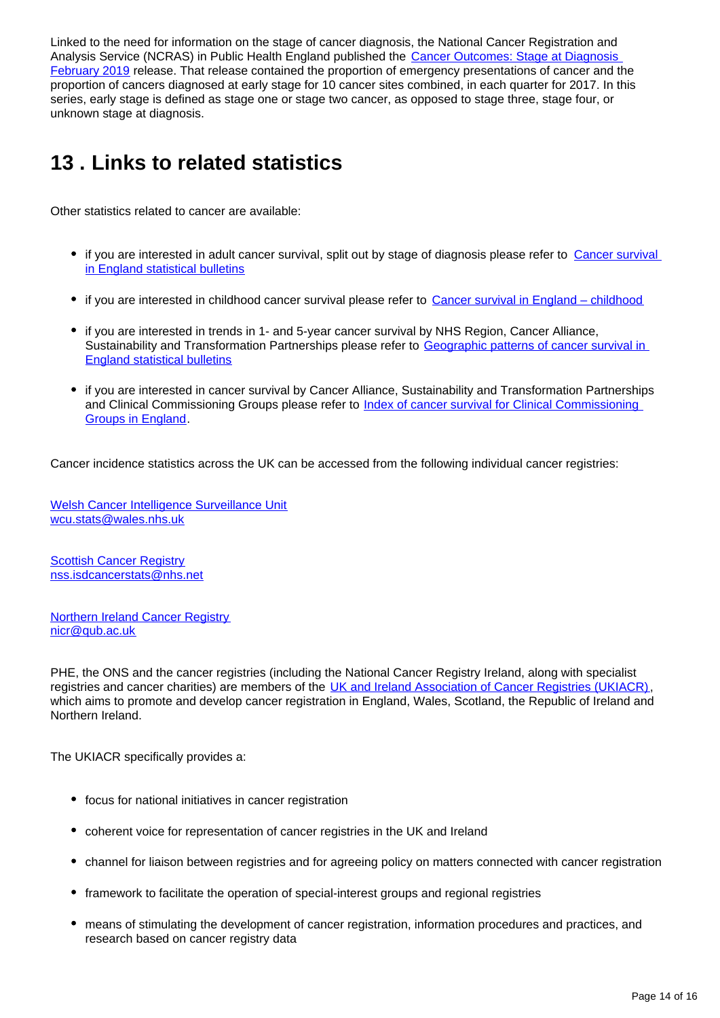Linked to the need for information on the stage of cancer diagnosis, the National Cancer Registration and Analysis Service (NCRAS) in Public Health England published the Cancer Outcomes: Stage at Diagnosis [February 2019](http://www.ncin.org.uk/cancer_type_and_topic_specific_work/topic_specific_work/cancer_outcome_metrics) release. That release contained the proportion of emergency presentations of cancer and the proportion of cancers diagnosed at early stage for 10 cancer sites combined, in each quarter for 2017. In this series, early stage is defined as stage one or stage two cancer, as opposed to stage three, stage four, or unknown stage at diagnosis.

## <span id="page-13-0"></span>**13 . Links to related statistics**

Other statistics related to cancer are available:

- if you are interested in adult cancer survival, split out by stage of diagnosis please refer to Cancer survival [in England statistical bulletins](https://www.ons.gov.uk/peoplepopulationandcommunity/healthandsocialcare/conditionsanddiseases/bulletins/cancersurvivalinengland/previousReleases)
- if you are interested in childhood cancer survival please refer to [Cancer survival in England childhood](https://www.ons.gov.uk/peoplepopulationandcommunity/healthandsocialcare/conditionsanddiseases/bulletins/cancersurvivalinengland/patientsfollowedupto2017)
- if you are interested in trends in 1- and 5-year cancer survival by NHS Region, Cancer Alliance, Sustainability and Transformation Partnerships please refer to Geographic patterns of cancer survival in [England statistical bulletins](https://www.ons.gov.uk/peoplepopulationandcommunity/healthandsocialcare/conditionsanddiseases/bulletins/geographicpatternsofcancersurvivalinengland/previousReleases)
- if you are interested in cancer survival by Cancer Alliance, Sustainability and Transformation Partnerships and Clinical Commissioning Groups please refer to [Index of cancer survival for Clinical Commissioning](https://www.ons.gov.uk/peoplepopulationandcommunity/healthandsocialcare/conditionsanddiseases/bulletins/indexofcancersurvivalforclinicalcommissioninggroupsinengland/adultsdiagnosed2001to2016andfollowedupto2017)  [Groups in England.](https://www.ons.gov.uk/peoplepopulationandcommunity/healthandsocialcare/conditionsanddiseases/bulletins/indexofcancersurvivalforclinicalcommissioninggroupsinengland/adultsdiagnosed2001to2016andfollowedupto2017)

Cancer incidence statistics across the UK can be accessed from the following individual cancer registries:

[Welsh Cancer Intelligence Surveillance Unit](http://www.wales.nhs.uk/sites3/home.cfm?OrgID=242) wcu.stats@wales.nhs.uk

**[Scottish Cancer Registry](http://www.isdscotland.org/Health-Topics/Cancer/Scottish-Cancer-Registry/)** nss.isdcancerstats@nhs.net

[Northern Ireland Cancer Registry](http://www.qub.ac.uk/research-centres/nicr/) nicr@qub.ac.uk

PHE, the ONS and the cancer registries (including the National Cancer Registry Ireland, along with specialist registries and cancer charities) are members of the [UK and Ireland Association of Cancer Registries \(UKIACR\),](http://www.ukiacr.org/) which aims to promote and develop cancer registration in England, Wales, Scotland, the Republic of Ireland and Northern Ireland.

The UKIACR specifically provides a:

- focus for national initiatives in cancer registration
- coherent voice for representation of cancer registries in the UK and Ireland
- channel for liaison between registries and for agreeing policy on matters connected with cancer registration
- framework to facilitate the operation of special-interest groups and regional registries
- means of stimulating the development of cancer registration, information procedures and practices, and research based on cancer registry data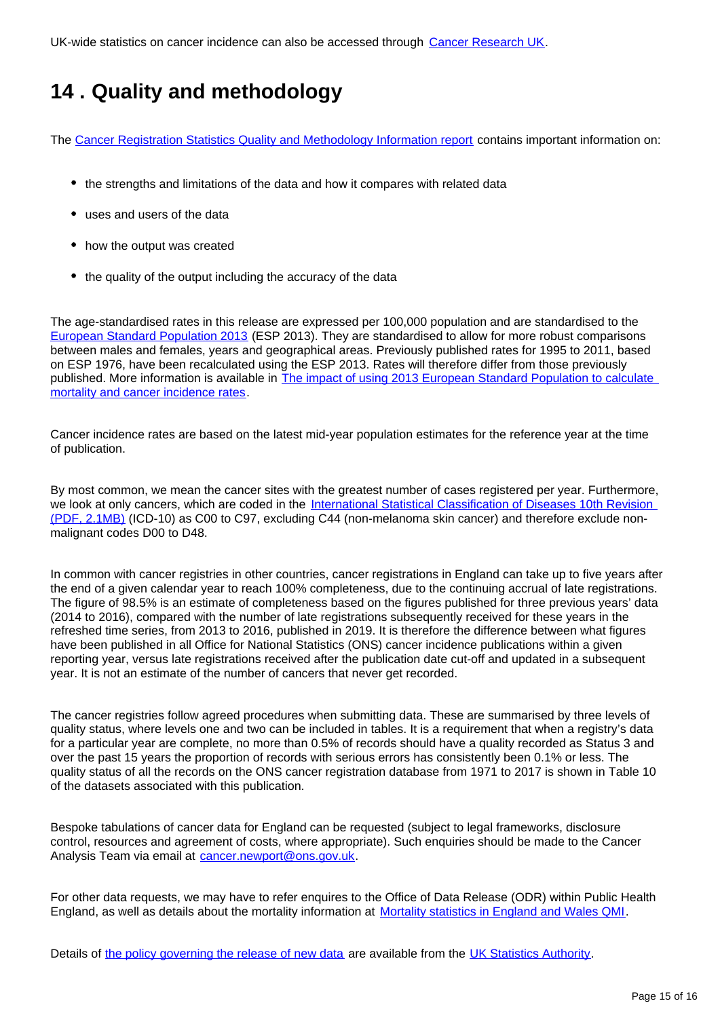UK-wide statistics on cancer incidence can also be accessed through [Cancer Research UK.](http://www.cancerresearchuk.org/health-professional/cancer-statistics/incidence#heading-Zero)

## <span id="page-14-0"></span>**14 . Quality and methodology**

The [Cancer Registration Statistics Quality and Methodology Information report](http://www.ons.gov.uk/peoplepopulationandcommunity/healthandsocialcare/conditionsanddiseases/qmis/cancerregistrationstatisticsqmi) contains important information on:

- the strengths and limitations of the data and how it compares with related data
- uses and users of the data
- how the output was created
- the quality of the output including the accuracy of the data

The age-standardised rates in this release are expressed per 100,000 population and are standardised to the [European Standard Population 2013](http://webarchive.nationalarchives.gov.uk/20160106020035/http:/www.ons.gov.uk/ons/guide-method/user-guidance/health-and-life-events/revised-european-standard-population-2013--2013-esp-/index.html) (ESP 2013). They are standardised to allow for more robust comparisons between males and females, years and geographical areas. Previously published rates for 1995 to 2011, based on ESP 1976, have been recalculated using the ESP 2013. Rates will therefore differ from those previously published. More information is available in [The impact of using 2013 European Standard Population to calculate](http://www.ons.gov.uk/ons/rel/cancer-unit/the-impact-of-calculating-cancer-incidence-rates-using-the-2013-european-standard-population/applied-to-2011-cancer-registrations/sty-cancer-rates-esp.html)  [mortality and cancer incidence rates.](http://www.ons.gov.uk/ons/rel/cancer-unit/the-impact-of-calculating-cancer-incidence-rates-using-the-2013-european-standard-population/applied-to-2011-cancer-registrations/sty-cancer-rates-esp.html)

Cancer incidence rates are based on the latest mid-year population estimates for the reference year at the time of publication.

By most common, we mean the cancer sites with the greatest number of cases registered per year. Furthermore, we look at only cancers, which are coded in the International Statistical Classification of Diseases 10th Revision [\(PDF, 2.1MB\)](http://www.who.int/classifications/icd/ICD10Volume2_en_2010.pdf) (ICD-10) as C00 to C97, excluding C44 (non-melanoma skin cancer) and therefore exclude nonmalignant codes D00 to D48.

In common with cancer registries in other countries, cancer registrations in England can take up to five years after the end of a given calendar year to reach 100% completeness, due to the continuing accrual of late registrations. The figure of 98.5% is an estimate of completeness based on the figures published for three previous years' data (2014 to 2016), compared with the number of late registrations subsequently received for these years in the refreshed time series, from 2013 to 2016, published in 2019. It is therefore the difference between what figures have been published in all Office for National Statistics (ONS) cancer incidence publications within a given reporting year, versus late registrations received after the publication date cut-off and updated in a subsequent year. It is not an estimate of the number of cancers that never get recorded.

The cancer registries follow agreed procedures when submitting data. These are summarised by three levels of quality status, where levels one and two can be included in tables. It is a requirement that when a registry's data for a particular year are complete, no more than 0.5% of records should have a quality recorded as Status 3 and over the past 15 years the proportion of records with serious errors has consistently been 0.1% or less. The quality status of all the records on the ONS cancer registration database from 1971 to 2017 is shown in Table 10 of the datasets associated with this publication.

Bespoke tabulations of cancer data for England can be requested (subject to legal frameworks, disclosure control, resources and agreement of costs, where appropriate). Such enquiries should be made to the Cancer Analysis Team via email at cancer.newport@ons.gov.uk.

For other data requests, we may have to refer enquires to the Office of Data Release (ODR) within Public Health England, as well as details about the mortality information at [Mortality statistics in England and Wales QMI](https://www.ons.gov.uk/peoplepopulationandcommunity/birthsdeathsandmarriages/deaths/methodologies/mortalitystatisticsinenglandandwalesqmi).

Details of [the policy governing the release of new data](https://www.statisticsauthority.gov.uk/code-of-practice/) are available from the [UK Statistics Authority.](https://www.statisticsauthority.gov.uk/)